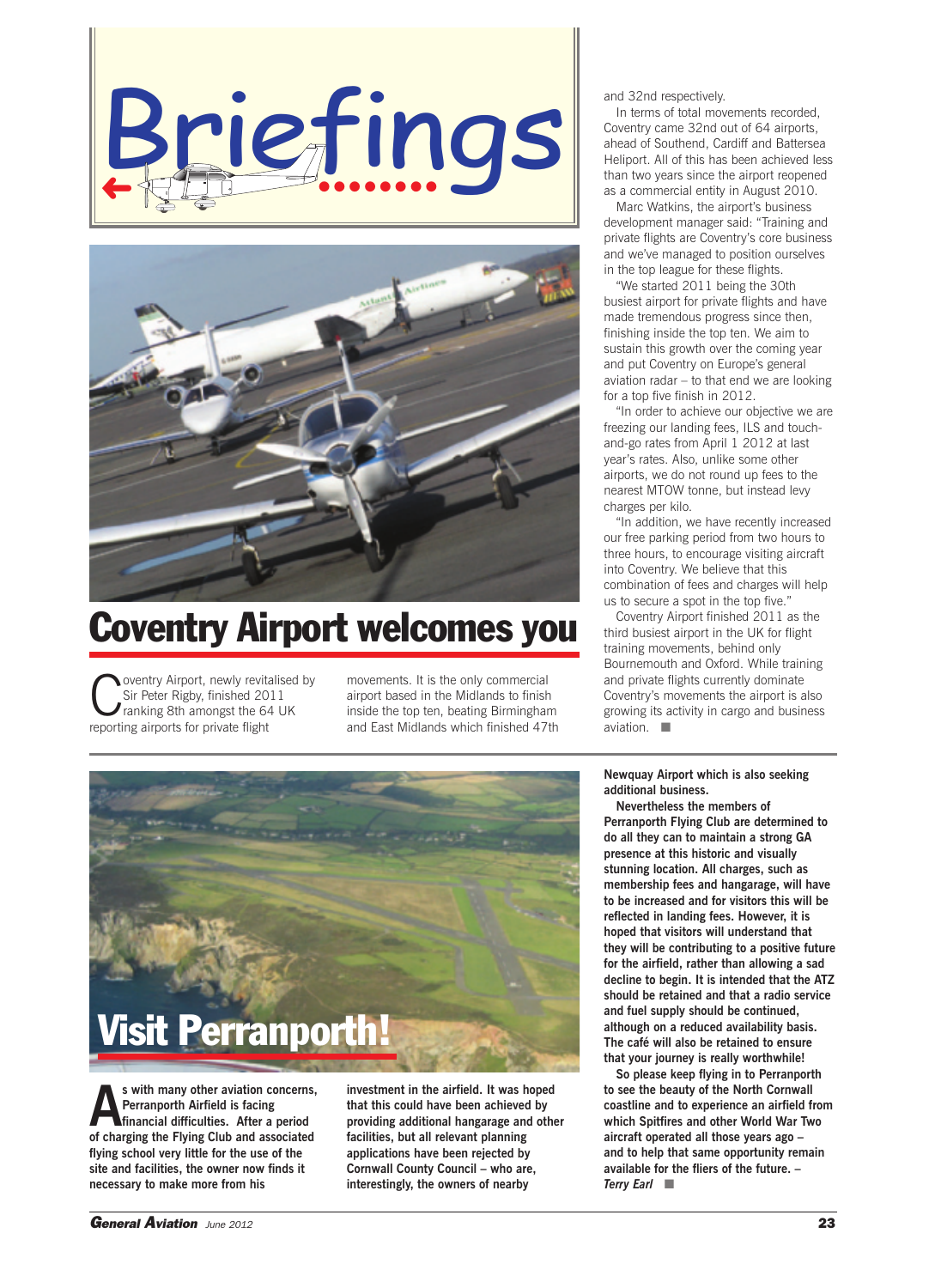



## **Coventry Airport welcomes you**

oventry Airport, newly revitalised by Sir Peter Rigby, finished 2011 ranking 8th amongst the 64 UK reporting airports for private flight

movements. It is the only commercial airport based in the Midlands to finish inside the top ten, beating Birmingham and East Midlands which finished 47th and 32nd respectively.

In terms of total movements recorded, Coventry came 32nd out of 64 airports, ahead of Southend, Cardiff and Battersea Heliport. All of this has been achieved less than two years since the airport reopened as a commercial entity in August 2010.

Marc Watkins, the airport's business development manager said: "Training and private flights are Coventry's core business and we've managed to position ourselves in the top league for these flights.

"We started 2011 being the 30th busiest airport for private flights and have made tremendous progress since then, finishing inside the top ten. We aim to sustain this growth over the coming year and put Coventry on Europe's general aviation radar – to that end we are looking for a top five finish in 2012.

"In order to achieve our objective we are freezing our landing fees, ILS and touchand-go rates from April 1 2012 at last year's rates. Also, unlike some other airports, we do not round up fees to the nearest MTOW tonne, but instead levy charges per kilo.

"In addition, we have recently increased our free parking period from two hours to three hours, to encourage visiting aircraft into Coventry. We believe that this combination of fees and charges will help us to secure a spot in the top five."

Coventry Airport finished 2011 as the third busiest airport in the UK for flight training movements, behind only Bournemouth and Oxford. While training and private flights currently dominate Coventry's movements the airport is also growing its activity in cargo and business aviation. ■

**Newquay Airport which is also seeking additional business.**

**Nevertheless the members of Perranporth Flying Club are determined to do all they can to maintain a strong GA presence at this historic and visually stunning location. All charges, such as membership fees and hangarage, will have to be increased and for visitors this will be reflected in landing fees. However, it is hoped that visitors will understand that they will be contributing to a positive future for the airfield, rather than allowing a sad decline to begin. It is intended that the ATZ should be retained and that a radio service and fuel supply should be continued, although on a reduced availability basis. The café will also be retained to ensure that your journey is really worthwhile!**

**So please keep flying in to Perranporth to see the beauty of the North Cornwall coastline and to experience an airfield from which Spitfires and other World War Two aircraft operated all those years ago – and to help that same opportunity remain available for the fliers of the future. –** *Terry Earl* ■



s with many other aviation concerns,<br>
Perranporth Airfield is facing<br>
financial difficulties. After a period<br>
of sharging the Elving Club and accocided **Perranporth Airfield is facing financial difficulties. After a period of charging the Flying Club and associated flying school very little for the use of the site and facilities, the owner now finds it necessary to make more from his**

**investment in the airfield. It was hoped that this could have been achieved by providing additional hangarage and other facilities, but all relevant planning applications have been rejected by Cornwall County Council – who are, interestingly, the owners of nearby**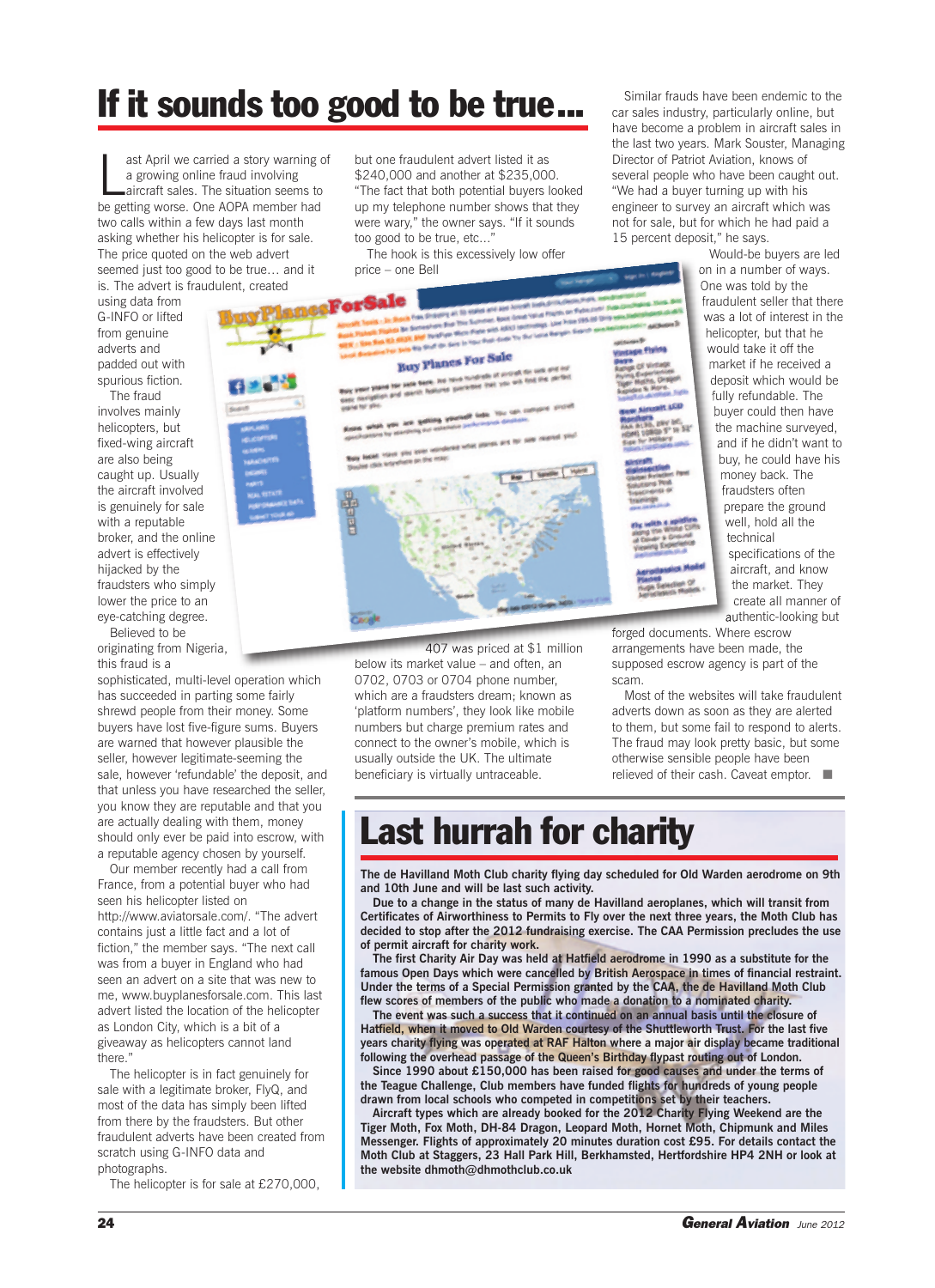## **If it sounds too good to be true...**

ast April we carried a story warning<br>a growing online fraud involving<br>aircraft sales. The situation seems to<br>be getting worse. One AOPA member had ast April we carried a story warning of a growing online fraud involving aircraft sales. The situation seems to two calls within a few days last month asking whether his helicopter is for sale. The price quoted on the web advert seemed just too good to be true… and it is. The advert is fraudulent, created

using data from G-INFO or lifted from genuine adverts and padded out with spurious fiction.

The fraud involves mainly helicopters, but fixed-wing aircraft are also being caught up. Usually the aircraft involved is genuinely for sale with a reputable broker, and the online advert is effectively hijacked by the fraudsters who simply lower the price to an eye-catching degree.

Believed to be originating from Nigeria, this fraud is a

sophisticated, multi-level operation which has succeeded in parting some fairly shrewd people from their money. Some buyers have lost five-figure sums. Buyers are warned that however plausible the seller, however legitimate-seeming the sale, however 'refundable' the deposit, and that unless you have researched the seller, you know they are reputable and that you are actually dealing with them, money should only ever be paid into escrow, with a reputable agency chosen by yourself.

Our member recently had a call from France, from a potential buyer who had seen his helicopter listed on http://www.aviatorsale.com/. "The advert contains just a little fact and a lot of fiction," the member says. "The next call was from a buyer in England who had seen an advert on a site that was new to me, www.buyplanesforsale.com. This last advert listed the location of the helicopter as London City, which is a bit of a giveaway as helicopters cannot land there."

The helicopter is in fact genuinely for sale with a legitimate broker, FlyQ, and most of the data has simply been lifted from there by the fraudsters. But other fraudulent adverts have been created from scratch using G-INFO data and photographs.

The helicopter is for sale at £270,000,

but one fraudulent advert listed it as \$240,000 and another at \$235,000. "The fact that both potential buyers looked up my telephone number shows that they were wary," the owner says. "If it sounds too good to be true, etc..."

The hook is this excessively low offer price – one Bell



407 was priced at \$1 million below its market value – and often, an 0702, 0703 or 0704 phone number, which are a fraudsters dream; known as 'platform numbers', they look like mobile numbers but charge premium rates and connect to the owner's mobile, which is usually outside the UK. The ultimate beneficiary is virtually untraceable.

Similar frauds have been endemic to the car sales industry, particularly online, but have become a problem in aircraft sales in the last two years. Mark Souster, Managing Director of Patriot Aviation, knows of several people who have been caught out. "We had a buyer turning up with his engineer to survey an aircraft which was not for sale, but for which he had paid a 15 percent deposit," he says.

Would-be buyers are led on in a number of ways. One was told by the fraudulent seller that there was a lot of interest in the helicopter, but that he would take it off the market if he received a deposit which would be fully refundable. The buyer could then have the machine surveyed, and if he didn't want to buy, he could have his money back. The fraudsters often prepare the ground well, hold all the technical specifications of the aircraft, and know the market. They create all manner of authentic-looking but

forged documents. Where escrow arrangements have been made, the supposed escrow agency is part of the scam.

Most of the websites will take fraudulent adverts down as soon as they are alerted to them, but some fail to respond to alerts. The fraud may look pretty basic, but some otherwise sensible people have been relieved of their cash. Caveat emptor. ■

## **Last hurrah for charity**

**The de Havilland Moth Club charity flying day scheduled for Old Warden aerodrome on 9th and 10th June and will be last such activity.**

**Due to a change in the status of many de Havilland aeroplanes, which will transit from Certificates of Airworthiness to Permits to Fly over the next three years, the Moth Club has decided to stop after the 2012 fundraising exercise. The CAA Permission precludes the use of permit aircraft for charity work.**

**The first Charity Air Day was held at Hatfield aerodrome in 1990 as a substitute for the famous Open Days which were cancelled by British Aerospace in times of financial restraint. Under the terms of a Special Permission granted by the CAA, the de Havilland Moth Club flew scores of members of the public who made a donation to a nominated charity.**

**The event was such a success that it continued on an annual basis until the closure of Hatfield, when it moved to Old Warden courtesy of the Shuttleworth Trust. For the last five years charity flying was operated at RAF Halton where a major air display became traditional following the overhead passage of the Queen's Birthday flypast routing out of London.**

**Since 1990 about £150,000 has been raised for good causes and under the terms of the Teague Challenge, Club members have funded flights for hundreds of young people drawn from local schools who competed in competitions set by their teachers.**

**Aircraft types which are already booked for the 2012 Charity Flying Weekend are the Tiger Moth, Fox Moth, DH-84 Dragon, Leopard Moth, Hornet Moth, Chipmunk and Miles Messenger. Flights of approximately 20 minutes duration cost £95. For details contact the Moth Club at Staggers, 23 Hall Park Hill, Berkhamsted, Hertfordshire HP4 2NH or look at the website dhmoth@dhmothclub.co.uk**